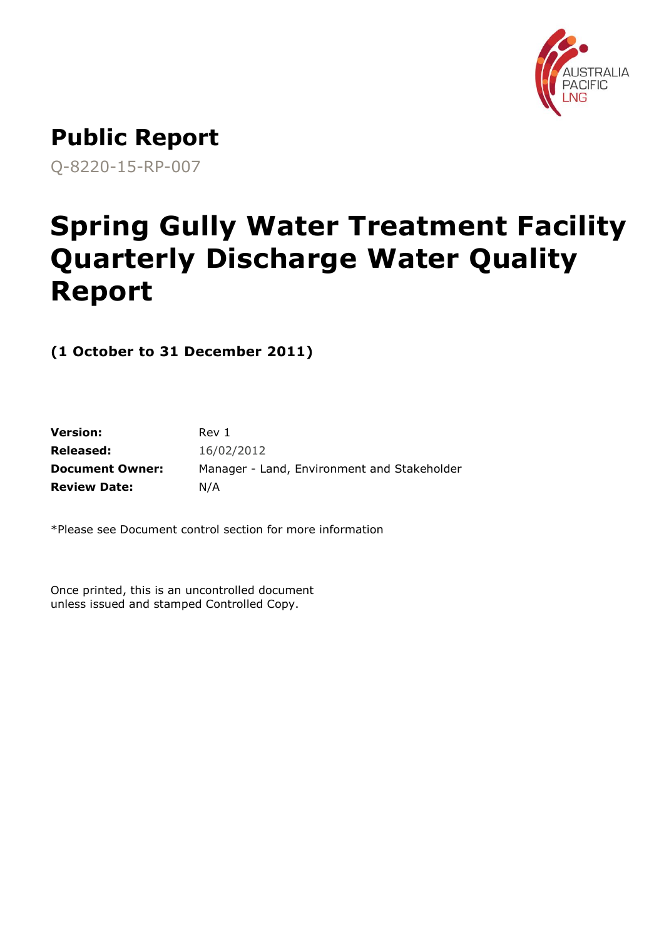

# **Public Report**

Q-8220-15-RP-007

# **Spring Gully Water Treatment Facility Quarterly Discharge Water Quality Report**

**(1 October to 31 December 2011)**

| <b>Version:</b>        | Rev 1                                       |
|------------------------|---------------------------------------------|
| Released:              | 16/02/2012                                  |
| <b>Document Owner:</b> | Manager - Land, Environment and Stakeholder |
| <b>Review Date:</b>    | N/A                                         |

\*Please see Document control section for more information

Once printed, this is an uncontrolled document unless issued and stamped Controlled Copy.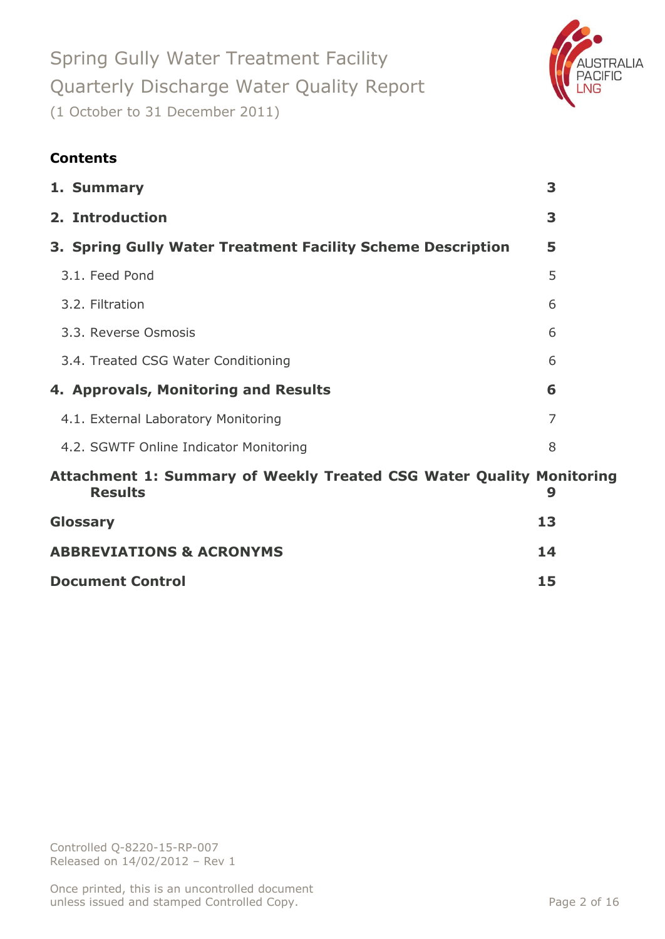

### **Contents**

| 1. Summary                                                                             | 3  |
|----------------------------------------------------------------------------------------|----|
| 2. Introduction                                                                        | 3  |
| 3. Spring Gully Water Treatment Facility Scheme Description                            | 5  |
| 3.1. Feed Pond                                                                         | 5  |
| 3.2. Filtration                                                                        | 6  |
| 3.3. Reverse Osmosis                                                                   | 6  |
| 3.4. Treated CSG Water Conditioning                                                    | 6  |
| 4. Approvals, Monitoring and Results                                                   | 6  |
| 4.1. External Laboratory Monitoring                                                    | 7  |
| 4.2. SGWTF Online Indicator Monitoring                                                 | 8  |
| Attachment 1: Summary of Weekly Treated CSG Water Quality Monitoring<br><b>Results</b> | 9  |
| Glossary                                                                               | 13 |
| <b>ABBREVIATIONS &amp; ACRONYMS</b>                                                    | 14 |
| <b>Document Control</b>                                                                | 15 |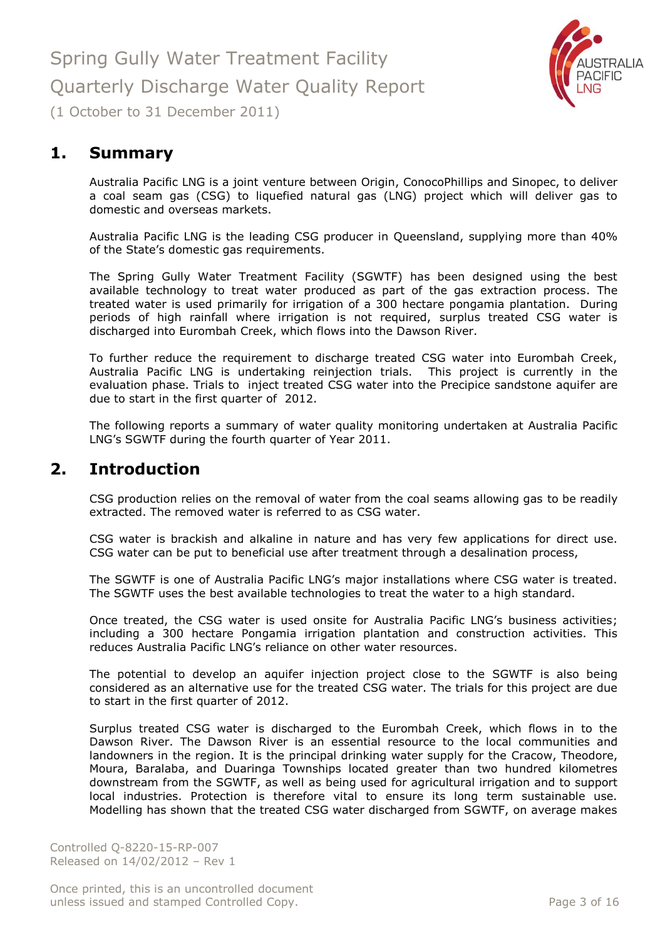

<span id="page-2-0"></span>**1. Summary**

Australia Pacific LNG is a joint venture between Origin, ConocoPhillips and Sinopec, to deliver a coal seam gas (CSG) to liquefied natural gas (LNG) project which will deliver gas to domestic and overseas markets.

Australia Pacific LNG is the leading CSG producer in Queensland, supplying more than 40% of the State's domestic gas requirements.

The Spring Gully Water Treatment Facility (SGWTF) has been designed using the best available technology to treat water produced as part of the gas extraction process. The treated water is used primarily for irrigation of a 300 hectare pongamia plantation. During periods of high rainfall where irrigation is not required, surplus treated CSG water is discharged into Eurombah Creek, which flows into the Dawson River.

To further reduce the requirement to discharge treated CSG water into Eurombah Creek, Australia Pacific LNG is undertaking reinjection trials. This project is currently in the evaluation phase. Trials to inject treated CSG water into the Precipice sandstone aquifer are due to start in the first quarter of 2012.

The following reports a summary of water quality monitoring undertaken at Australia Pacific LNG's SGWTF during the fourth quarter of Year 2011.

### <span id="page-2-1"></span>**2. Introduction**

CSG production relies on the removal of water from the coal seams allowing gas to be readily extracted. The removed water is referred to as CSG water.

CSG water is brackish and alkaline in nature and has very few applications for direct use. CSG water can be put to beneficial use after treatment through a desalination process,

The SGWTF is one of Australia Pacific LNG's major installations where CSG water is treated. The SGWTF uses the best available technologies to treat the water to a high standard.

Once treated, the CSG water is used onsite for Australia Pacific LNG's business activities; including a 300 hectare Pongamia irrigation plantation and construction activities. This reduces Australia Pacific LNG's reliance on other water resources.

The potential to develop an aquifer injection project close to the SGWTF is also being considered as an alternative use for the treated CSG water. The trials for this project are due to start in the first quarter of 2012.

Surplus treated CSG water is discharged to the Eurombah Creek, which flows in to the Dawson River. The Dawson River is an essential resource to the local communities and landowners in the region. It is the principal drinking water supply for the Cracow, Theodore, Moura, Baralaba, and Duaringa Townships located greater than two hundred kilometres downstream from the SGWTF, as well as being used for agricultural irrigation and to support local industries. Protection is therefore vital to ensure its long term sustainable use. Modelling has shown that the treated CSG water discharged from SGWTF, on average makes

Controlled Q-8220-15-RP-007 Released on 14/02/2012 – Rev 1

Once printed, this is an uncontrolled document unless issued and stamped Controlled Copy. The extended of the Page 3 of 16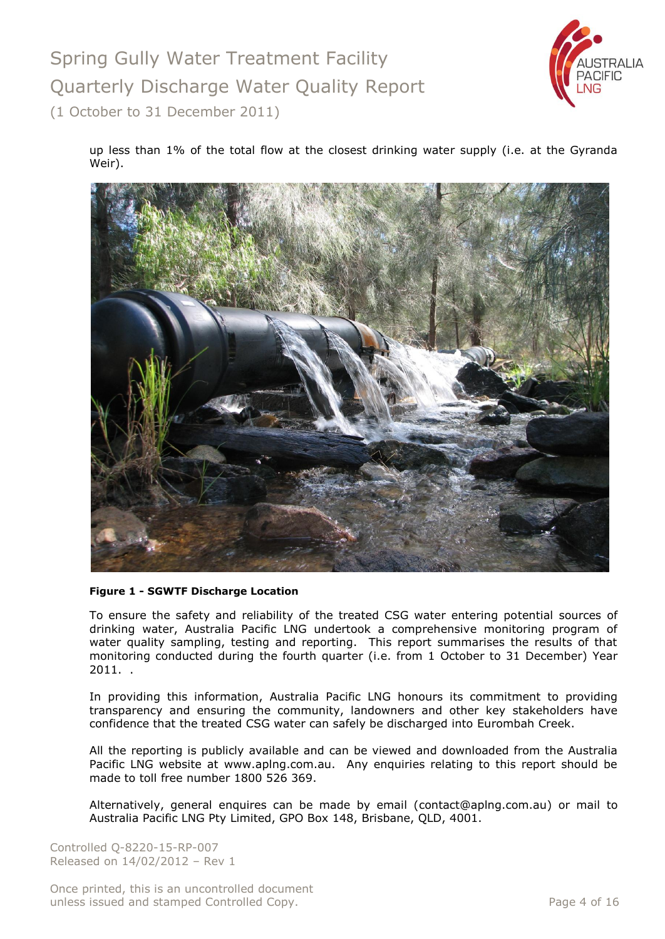

up less than 1% of the total flow at the closest drinking water supply (i.e. at the Gyranda Weir).



#### **Figure 1 - SGWTF Discharge Location**

To ensure the safety and reliability of the treated CSG water entering potential sources of drinking water, Australia Pacific LNG undertook a comprehensive monitoring program of water quality sampling, testing and reporting. This report summarises the results of that monitoring conducted during the fourth quarter (i.e. from 1 October to 31 December) Year 2011. .

In providing this information, Australia Pacific LNG honours its commitment to providing transparency and ensuring the community, landowners and other key stakeholders have confidence that the treated CSG water can safely be discharged into Eurombah Creek.

All the reporting is publicly available and can be viewed and downloaded from the Australia Pacific LNG website at [www.aplng.com.au.](http://www.aplng.com.au/) Any enquiries relating to this report should be made to toll free number 1800 526 369.

Alternatively, general enquires can be made by email [\(contact@aplng.com.au\)](mailto:contact@aplng.com.au) or mail to Australia Pacific LNG Pty Limited, GPO Box 148, Brisbane, QLD, 4001.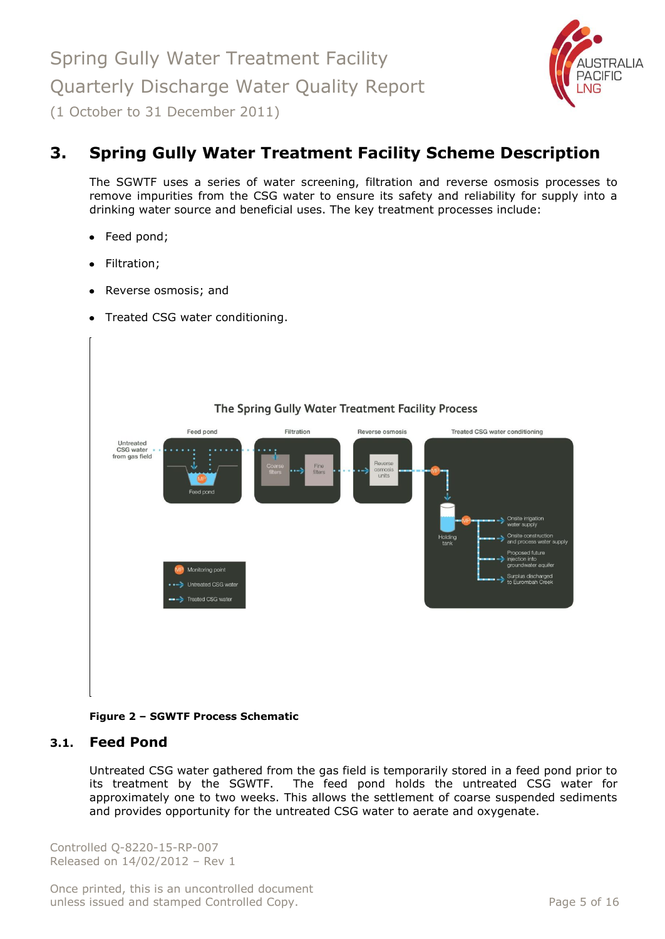

# <span id="page-4-0"></span>**3. Spring Gully Water Treatment Facility Scheme Description**

The SGWTF uses a series of water screening, filtration and reverse osmosis processes to remove impurities from the CSG water to ensure its safety and reliability for supply into a drinking water source and beneficial uses. The key treatment processes include:

- Feed pond;
- Filtration;
- Reverse osmosis; and
- Treated CSG water conditioning.



#### **Figure 2 – SGWTF Process Schematic**

#### <span id="page-4-1"></span>**3.1. Feed Pond**

Untreated CSG water gathered from the gas field is temporarily stored in a feed pond prior to its treatment by the SGWTF. The feed pond holds the untreated CSG water for approximately one to two weeks. This allows the settlement of coarse suspended sediments and provides opportunity for the untreated CSG water to aerate and oxygenate.

Controlled Q-8220-15-RP-007 Released on 14/02/2012 – Rev 1

Once printed, this is an uncontrolled document unless issued and stamped Controlled Copy. The extended of the Page 5 of 16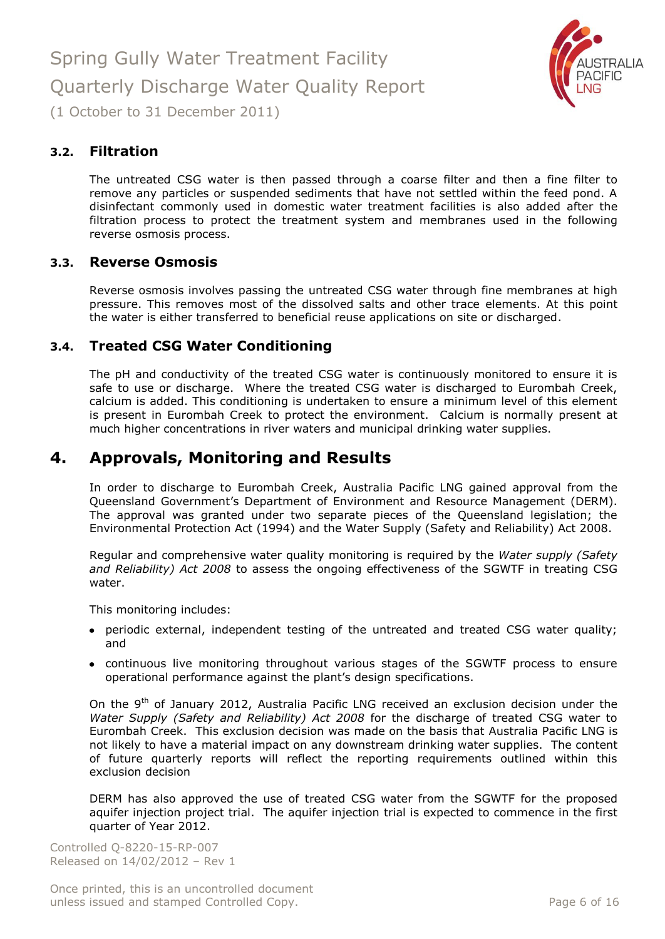

<span id="page-5-0"></span>**3.2. Filtration**

The untreated CSG water is then passed through a coarse filter and then a fine filter to remove any particles or suspended sediments that have not settled within the feed pond. A disinfectant commonly used in domestic water treatment facilities is also added after the filtration process to protect the treatment system and membranes used in the following reverse osmosis process.

#### <span id="page-5-1"></span>**3.3. Reverse Osmosis**

Reverse osmosis involves passing the untreated CSG water through fine membranes at high pressure. This removes most of the dissolved salts and other trace elements. At this point the water is either transferred to beneficial reuse applications on site or discharged.

#### <span id="page-5-2"></span>**3.4. Treated CSG Water Conditioning**

The pH and conductivity of the treated CSG water is continuously monitored to ensure it is safe to use or discharge. Where the treated CSG water is discharged to Eurombah Creek, calcium is added. This conditioning is undertaken to ensure a minimum level of this element is present in Eurombah Creek to protect the environment. Calcium is normally present at much higher concentrations in river waters and municipal drinking water supplies.

### <span id="page-5-3"></span>**4. Approvals, Monitoring and Results**

In order to discharge to Eurombah Creek, Australia Pacific LNG gained approval from the Queensland Government's Department of Environment and Resource Management (DERM). The approval was granted under two separate pieces of the Queensland legislation; the Environmental Protection Act (1994) and the Water Supply (Safety and Reliability) Act 2008.

Regular and comprehensive water quality monitoring is required by the *Water supply (Safety and Reliability) Act 2008* to assess the ongoing effectiveness of the SGWTF in treating CSG water.

This monitoring includes:

- periodic external, independent testing of the untreated and treated CSG water quality; and
- continuous live monitoring throughout various stages of the SGWTF process to ensure operational performance against the plant's design specifications.

On the 9<sup>th</sup> of January 2012, Australia Pacific LNG received an exclusion decision under the *Water Supply (Safety and Reliability) Act 2008* for the discharge of treated CSG water to Eurombah Creek. This exclusion decision was made on the basis that Australia Pacific LNG is not likely to have a material impact on any downstream drinking water supplies. The content of future quarterly reports will reflect the reporting requirements outlined within this exclusion decision

DERM has also approved the use of treated CSG water from the SGWTF for the proposed aquifer injection project trial. The aquifer injection trial is expected to commence in the first quarter of Year 2012.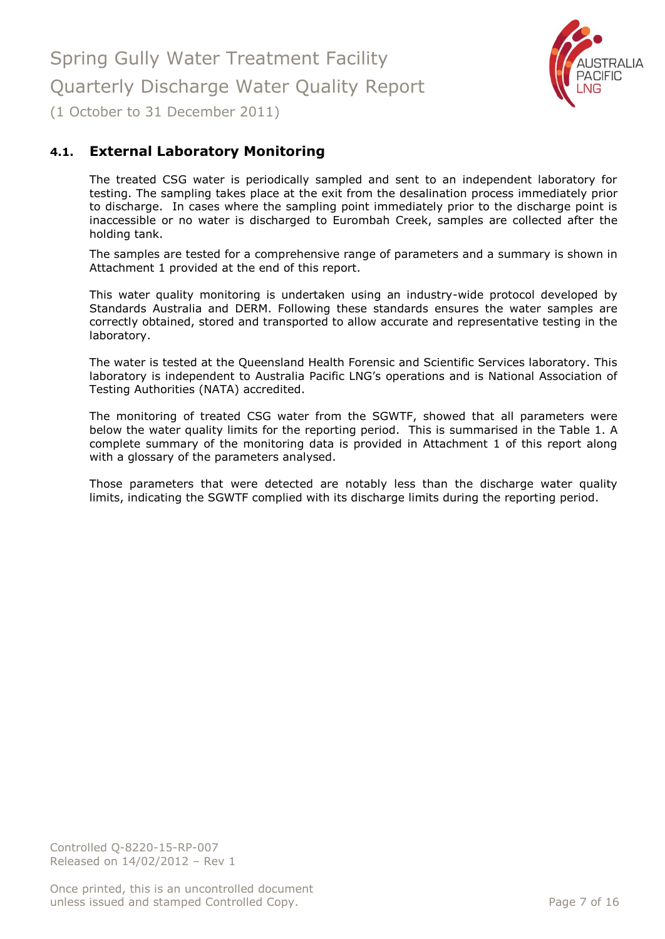

### <span id="page-6-0"></span>**4.1. External Laboratory Monitoring**

The treated CSG water is periodically sampled and sent to an independent laboratory for testing. The sampling takes place at the exit from the desalination process immediately prior to discharge. In cases where the sampling point immediately prior to the discharge point is inaccessible or no water is discharged to Eurombah Creek, samples are collected after the holding tank.

The samples are tested for a comprehensive range of parameters and a summary is shown in Attachment 1 provided at the end of this report.

This water quality monitoring is undertaken using an industry-wide protocol developed by Standards Australia and DERM. Following these standards ensures the water samples are correctly obtained, stored and transported to allow accurate and representative testing in the laboratory.

The water is tested at the Queensland Health Forensic and Scientific Services laboratory. This laboratory is independent to Australia Pacific LNG's operations and is National Association of Testing Authorities (NATA) accredited.

The monitoring of treated CSG water from the SGWTF, showed that all parameters were below the water quality limits for the reporting period. This is summarised in the Table 1. A complete summary of the monitoring data is provided in Attachment 1 of this report along with a glossary of the parameters analysed.

Those parameters that were detected are notably less than the discharge water quality limits, indicating the SGWTF complied with its discharge limits during the reporting period.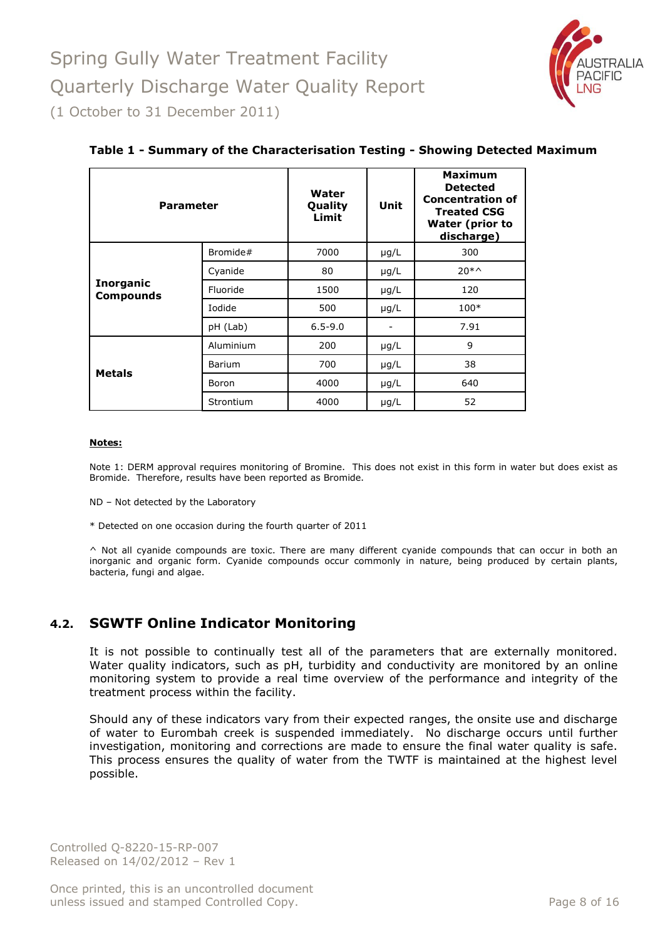

| <b>Parameter</b>                     |               | Water<br>Quality<br>Limit | Unit      | <b>Maximum</b><br><b>Detected</b><br><b>Concentration of</b><br><b>Treated CSG</b><br>Water (prior to<br>discharge) |
|--------------------------------------|---------------|---------------------------|-----------|---------------------------------------------------------------------------------------------------------------------|
|                                      | Bromide#      | 7000                      | $\mu$ g/L | 300                                                                                                                 |
|                                      | Cyanide       | 80                        | $\mu$ g/L | $20 * \gamma$                                                                                                       |
| <b>Inorganic</b><br><b>Compounds</b> | Fluoride      | 1500                      | $\mu$ g/L | 120                                                                                                                 |
|                                      | Iodide        | 500                       | $\mu$ g/L | $100*$                                                                                                              |
|                                      | pH (Lab)      | $6.5 - 9.0$               |           | 7.91                                                                                                                |
|                                      | Aluminium     | 200                       | $\mu$ g/L | 9                                                                                                                   |
| <b>Metals</b>                        | <b>Barium</b> | 700                       | $\mu$ g/L | 38                                                                                                                  |
|                                      | Boron         | 4000                      | $\mu$ g/L | 640                                                                                                                 |
|                                      | Strontium     | 4000                      | $\mu$ g/L | 52                                                                                                                  |

#### **Table 1 - Summary of the Characterisation Testing - Showing Detected Maximum**

#### **Notes:**

Note 1: DERM approval requires monitoring of Bromine. This does not exist in this form in water but does exist as Bromide. Therefore, results have been reported as Bromide.

ND – Not detected by the Laboratory

\* Detected on one occasion during the fourth quarter of 2011

^ Not all cyanide compounds are toxic. There are many different cyanide compounds that can occur in both an inorganic and organic form. Cyanide compounds occur commonly in nature, being produced by certain plants, bacteria, fungi and algae.

#### <span id="page-7-0"></span>**4.2. SGWTF Online Indicator Monitoring**

It is not possible to continually test all of the parameters that are externally monitored. Water quality indicators, such as pH, turbidity and conductivity are monitored by an online monitoring system to provide a real time overview of the performance and integrity of the treatment process within the facility.

Should any of these indicators vary from their expected ranges, the onsite use and discharge of water to Eurombah creek is suspended immediately. No discharge occurs until further investigation, monitoring and corrections are made to ensure the final water quality is safe. This process ensures the quality of water from the TWTF is maintained at the highest level possible.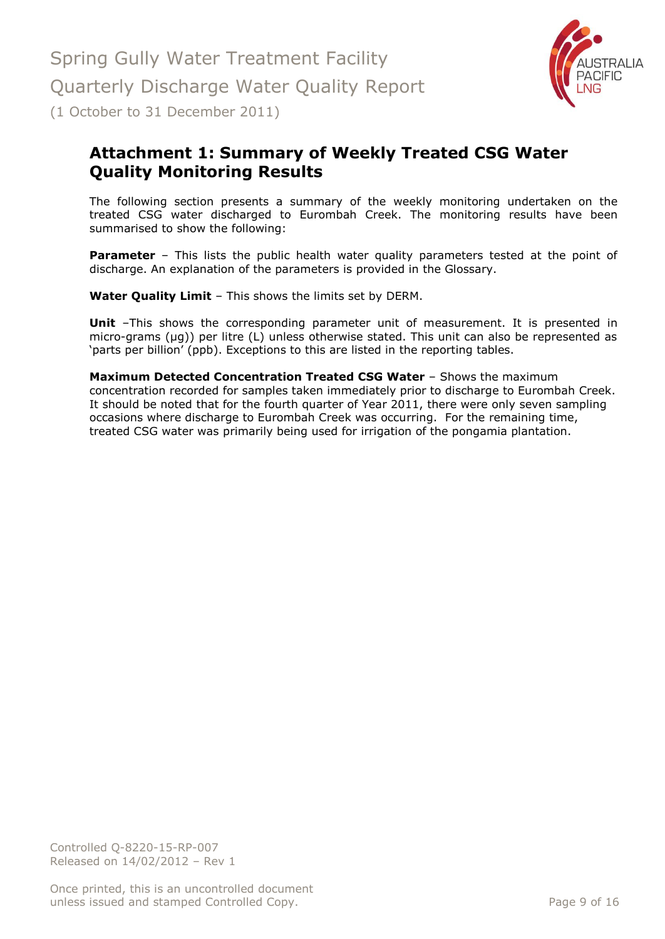

# <span id="page-8-0"></span>**Attachment 1: Summary of Weekly Treated CSG Water Quality Monitoring Results**

The following section presents a summary of the weekly monitoring undertaken on the treated CSG water discharged to Eurombah Creek. The monitoring results have been summarised to show the following:

**Parameter** – This lists the public health water quality parameters tested at the point of discharge. An explanation of the parameters is provided in the Glossary.

**Water Quality Limit** – This shows the limits set by DERM.

**Unit** -This shows the corresponding parameter unit of measurement. It is presented in micro-grams (µg)) per litre (L) unless otherwise stated. This unit can also be represented as 'parts per billion' (ppb). Exceptions to this are listed in the reporting tables.

**Maximum Detected Concentration Treated CSG Water** – Shows the maximum concentration recorded for samples taken immediately prior to discharge to Eurombah Creek. It should be noted that for the fourth quarter of Year 2011, there were only seven sampling occasions where discharge to Eurombah Creek was occurring. For the remaining time, treated CSG water was primarily being used for irrigation of the pongamia plantation.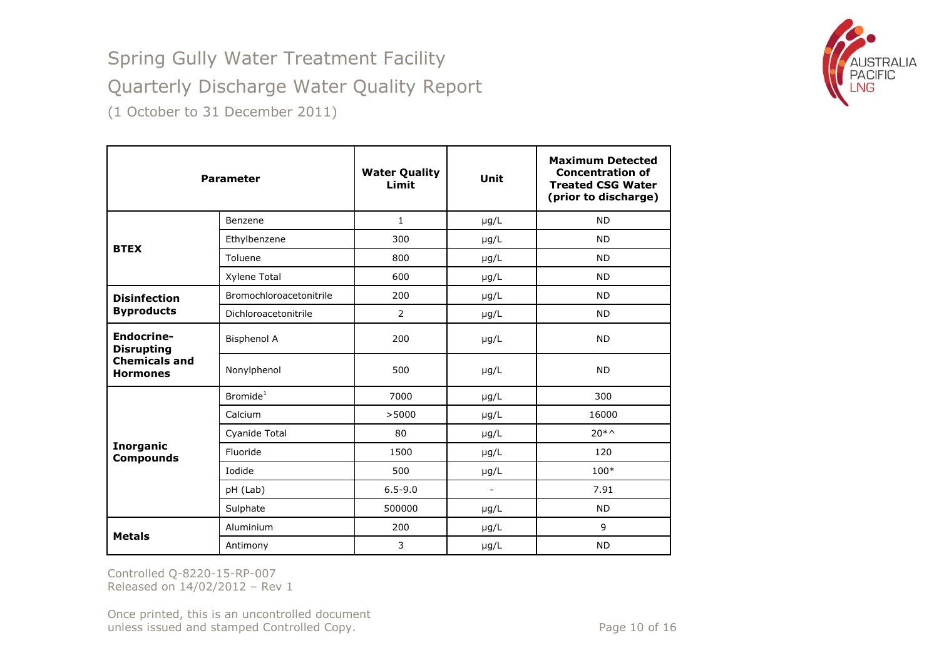

|                                         | <b>Parameter</b>        | <b>Water Quality</b><br>Limit | Unit           | <b>Maximum Detected</b><br><b>Concentration of</b><br><b>Treated CSG Water</b><br>(prior to discharge) |
|-----------------------------------------|-------------------------|-------------------------------|----------------|--------------------------------------------------------------------------------------------------------|
|                                         | Benzene                 | $\mathbf{1}$                  | $\mu$ g/L      | <b>ND</b>                                                                                              |
| <b>BTEX</b>                             | Ethylbenzene            | 300                           | $\mu$ g/L      | <b>ND</b>                                                                                              |
|                                         | Toluene                 | 800                           | $\mu$ g/L      | <b>ND</b>                                                                                              |
|                                         | Xylene Total            | 600                           | $\mu$ g/L      | <b>ND</b>                                                                                              |
| <b>Disinfection</b>                     | Bromochloroacetonitrile | 200                           | $\mu$ g/L      | <b>ND</b>                                                                                              |
| <b>Byproducts</b>                       | Dichloroacetonitrile    | 2                             | $\mu$ g/L      | <b>ND</b>                                                                                              |
| <b>Endocrine-</b><br><b>Disrupting</b>  | <b>Bisphenol A</b>      | 200                           | $\mu$ g/L      | <b>ND</b>                                                                                              |
| <b>Chemicals and</b><br><b>Hormones</b> | Nonylphenol             | 500                           | $\mu$ g/L      | <b>ND</b>                                                                                              |
|                                         | Bromide <sup>1</sup>    | 7000                          | $\mu$ g/L      | 300                                                                                                    |
|                                         | Calcium                 | >5000                         | $\mu$ g/L      | 16000                                                                                                  |
|                                         | Cyanide Total           | 80                            | $\mu$ g/L      | $20 * \gamma$                                                                                          |
| <b>Inorganic</b><br><b>Compounds</b>    | Fluoride                | 1500                          | $\mu$ g/L      | 120                                                                                                    |
|                                         | Iodide                  | 500                           | $\mu$ g/L      | 100*                                                                                                   |
|                                         | pH (Lab)                | $6.5 - 9.0$                   | $\blacksquare$ | 7.91                                                                                                   |
|                                         | Sulphate                | 500000                        | $\mu$ g/L      | <b>ND</b>                                                                                              |
|                                         | Aluminium               | 200                           | µg/L           | 9                                                                                                      |
| <b>Metals</b>                           | Antimony                | 3                             | $\mu$ g/L      | <b>ND</b>                                                                                              |

Controlled Q-8220-15-RP-007 Released on 14/02/2012 – Rev 1

Once printed, this is an uncontrolled document unless issued and stamped Controlled Copy. The extendion of the Page 10 of 16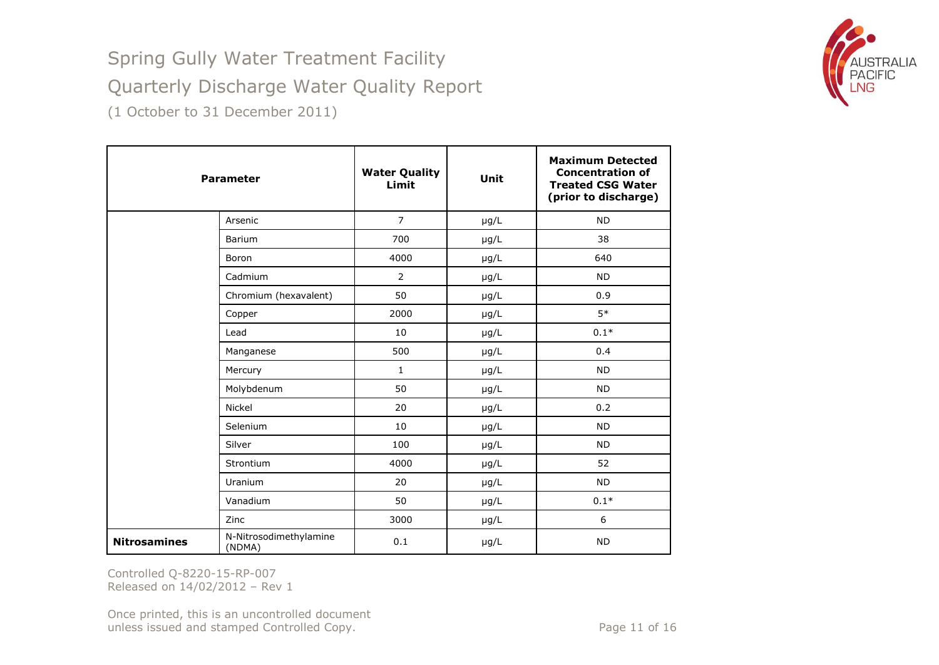

|                     | <b>Parameter</b>                 | <b>Water Quality</b><br>Limit | Unit      | <b>Maximum Detected</b><br><b>Concentration of</b><br><b>Treated CSG Water</b><br>(prior to discharge) |
|---------------------|----------------------------------|-------------------------------|-----------|--------------------------------------------------------------------------------------------------------|
|                     | Arsenic                          | $\overline{7}$                | $\mu$ g/L | <b>ND</b>                                                                                              |
|                     | Barium                           | 700                           | $\mu$ g/L | 38                                                                                                     |
|                     | Boron                            | 4000                          | $\mu$ g/L | 640                                                                                                    |
|                     | Cadmium                          | $\overline{2}$                | $\mu$ g/L | <b>ND</b>                                                                                              |
|                     | Chromium (hexavalent)            | 50                            | µg/L      | 0.9                                                                                                    |
|                     | Copper                           | 2000                          | $\mu$ g/L | $5*$                                                                                                   |
|                     | Lead                             | 10                            | $\mu$ g/L | $0.1*$                                                                                                 |
|                     | Manganese                        | 500                           | µg/L      | 0.4                                                                                                    |
|                     | Mercury                          | $\mathbf{1}$                  | $\mu$ g/L | <b>ND</b>                                                                                              |
|                     | Molybdenum                       | 50                            | µg/L      | <b>ND</b>                                                                                              |
|                     | Nickel                           | 20                            | $\mu$ g/L | 0.2                                                                                                    |
|                     | Selenium                         | 10                            | µg/L      | <b>ND</b>                                                                                              |
|                     | Silver                           | 100                           | $\mu$ g/L | <b>ND</b>                                                                                              |
|                     | Strontium                        | 4000                          | $\mu$ g/L | 52                                                                                                     |
|                     | Uranium                          | 20                            | $\mu$ g/L | <b>ND</b>                                                                                              |
|                     | Vanadium                         | 50                            | $\mu$ g/L | $0.1*$                                                                                                 |
|                     | Zinc                             | 3000                          | $\mu$ g/L | 6                                                                                                      |
| <b>Nitrosamines</b> | N-Nitrosodimethylamine<br>(NDMA) | 0.1                           | $\mu$ g/L | <b>ND</b>                                                                                              |

Controlled Q-8220-15-RP-007 Released on 14/02/2012 – Rev 1

Once printed, this is an uncontrolled document unless issued and stamped Controlled Copy. The extended of 16 Page 11 of 16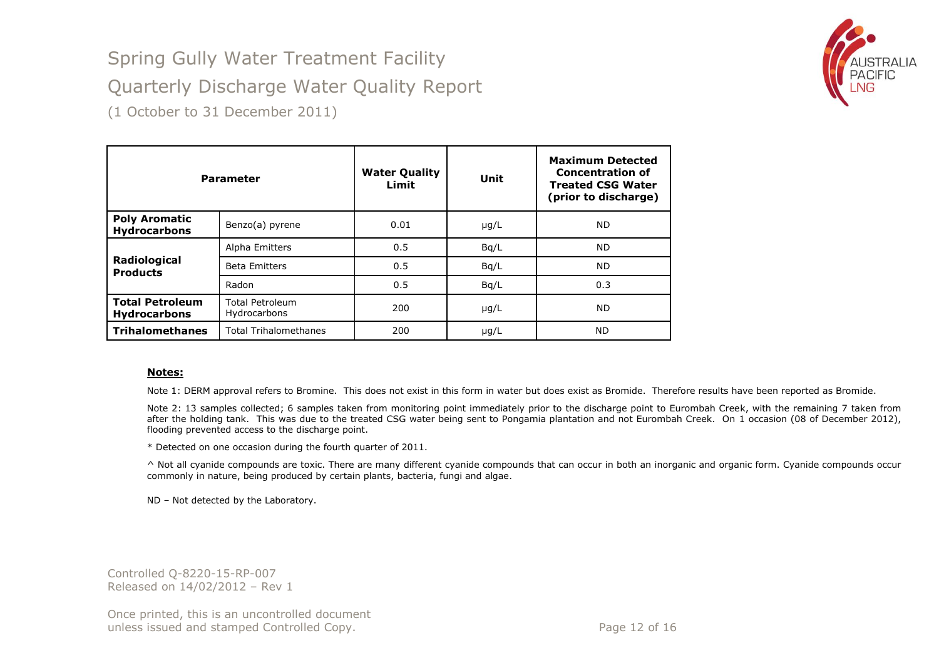# Spring Gully Water Treatment Facility



Quarterly Discharge Water Quality Report

(1 October to 31 December 2011)

| <b>Parameter</b>                              |                                        | <b>Water Quality</b><br>Limit | Unit      | <b>Maximum Detected</b><br><b>Concentration of</b><br><b>Treated CSG Water</b><br>(prior to discharge) |
|-----------------------------------------------|----------------------------------------|-------------------------------|-----------|--------------------------------------------------------------------------------------------------------|
| <b>Poly Aromatic</b><br><b>Hydrocarbons</b>   | Benzo(a) pyrene                        | 0.01                          | $\mu$ g/L | <b>ND</b>                                                                                              |
| Radiological<br><b>Products</b>               | Alpha Emitters                         | 0.5                           | Bq/L      | <b>ND</b>                                                                                              |
|                                               | <b>Beta Emitters</b>                   | 0.5                           | Bq/L      | <b>ND</b>                                                                                              |
|                                               | Radon                                  | 0.5                           | Bq/L      | 0.3                                                                                                    |
| <b>Total Petroleum</b><br><b>Hydrocarbons</b> | <b>Total Petroleum</b><br>Hydrocarbons | 200                           | $\mu$ g/L | <b>ND</b>                                                                                              |
| <b>Trihalomethanes</b>                        | <b>Total Trihalomethanes</b>           | 200                           | $\mu$ g/L | ND.                                                                                                    |

#### **Notes:**

Note 1: DERM approval refers to Bromine. This does not exist in this form in water but does exist as Bromide. Therefore results have been reported as Bromide.

Note 2: 13 samples collected; 6 samples taken from monitoring point immediately prior to the discharge point to Eurombah Creek, with the remaining 7 taken from after the holding tank. This was due to the treated CSG water being sent to Pongamia plantation and not Eurombah Creek. On 1 occasion (08 of December 2012), flooding prevented access to the discharge point.

\* Detected on one occasion during the fourth quarter of 2011.

^ Not all cyanide compounds are toxic. There are many different cyanide compounds that can occur in both an inorganic and organic form. Cyanide compounds occur commonly in nature, being produced by certain plants, bacteria, fungi and algae.

ND – Not detected by the Laboratory.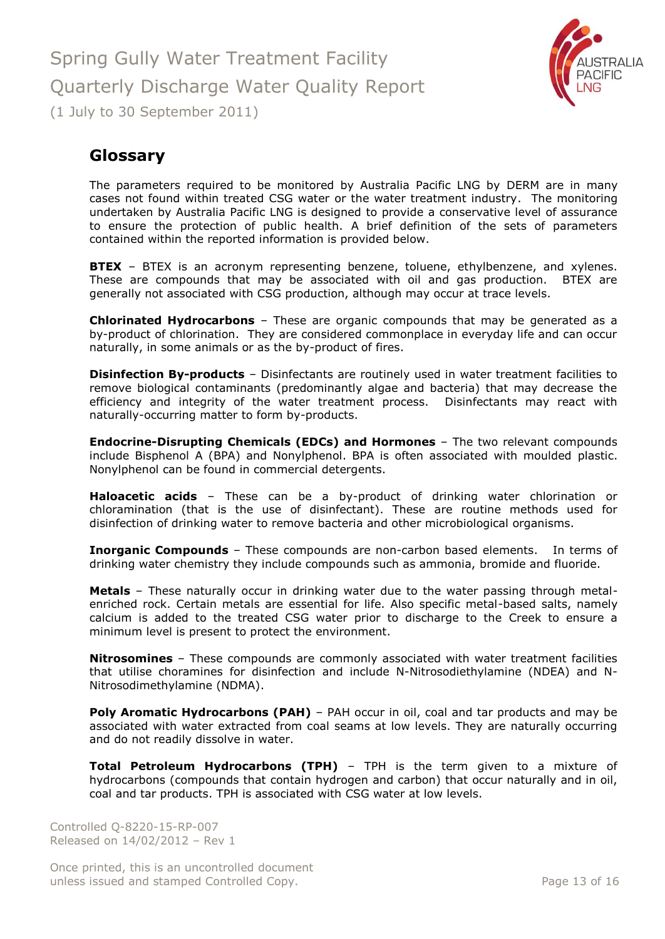

## <span id="page-12-0"></span>**Glossary**

The parameters required to be monitored by Australia Pacific LNG by DERM are in many cases not found within treated CSG water or the water treatment industry. The monitoring undertaken by Australia Pacific LNG is designed to provide a conservative level of assurance to ensure the protection of public health. A brief definition of the sets of parameters contained within the reported information is provided below.

**BTEX** – BTEX is an acronym representing benzene, toluene, ethylbenzene, and xylenes. These are compounds that may be associated with oil and gas production. BTEX are generally not associated with CSG production, although may occur at trace levels.

**Chlorinated Hydrocarbons** – These are organic compounds that may be generated as a by-product of chlorination. They are considered commonplace in everyday life and can occur naturally, in some animals or as the by-product of fires.

**Disinfection By-products** – Disinfectants are routinely used in water treatment facilities to remove biological contaminants (predominantly algae and bacteria) that may decrease the efficiency and integrity of the water treatment process. Disinfectants may react with naturally-occurring matter to form by-products.

**Endocrine-Disrupting Chemicals (EDCs) and Hormones** – The two relevant compounds include Bisphenol A (BPA) and Nonylphenol. BPA is often associated with moulded plastic. Nonylphenol can be found in commercial detergents.

**Haloacetic acids** – These can be a by-product of drinking water chlorination or chloramination (that is the use of disinfectant). These are routine methods used for disinfection of drinking water to remove bacteria and other microbiological organisms.

**Inorganic Compounds** – These compounds are non-carbon based elements. In terms of drinking water chemistry they include compounds such as ammonia, bromide and fluoride.

**Metals** – These naturally occur in drinking water due to the water passing through metalenriched rock. Certain metals are essential for life. Also specific metal-based salts, namely calcium is added to the treated CSG water prior to discharge to the Creek to ensure a minimum level is present to protect the environment.

**Nitrosomines** – These compounds are commonly associated with water treatment facilities that utilise choramines for disinfection and include N-Nitrosodiethylamine (NDEA) and N-Nitrosodimethylamine (NDMA).

**Poly Aromatic Hydrocarbons (PAH)** – PAH occur in oil, coal and tar products and may be associated with water extracted from coal seams at low levels. They are naturally occurring and do not readily dissolve in water.

**Total Petroleum Hydrocarbons (TPH)** – TPH is the term given to a mixture of hydrocarbons (compounds that contain hydrogen and carbon) that occur naturally and in oil, coal and tar products. TPH is associated with CSG water at low levels.

Controlled Q-8220-15-RP-007 Released on 14/02/2012 – Rev 1

Once printed, this is an uncontrolled document unless issued and stamped Controlled Copy. The extended of 16 and 5 of 16 and 5 and 5 and 7 and 7 and 7 and 7 and 7 and 7 and 7 and 7 and 7 and 7 and 7 and 7 and 7 and 7 and 7 and 7 and 7 and 7 and 7 and 7 and 7 and 7 and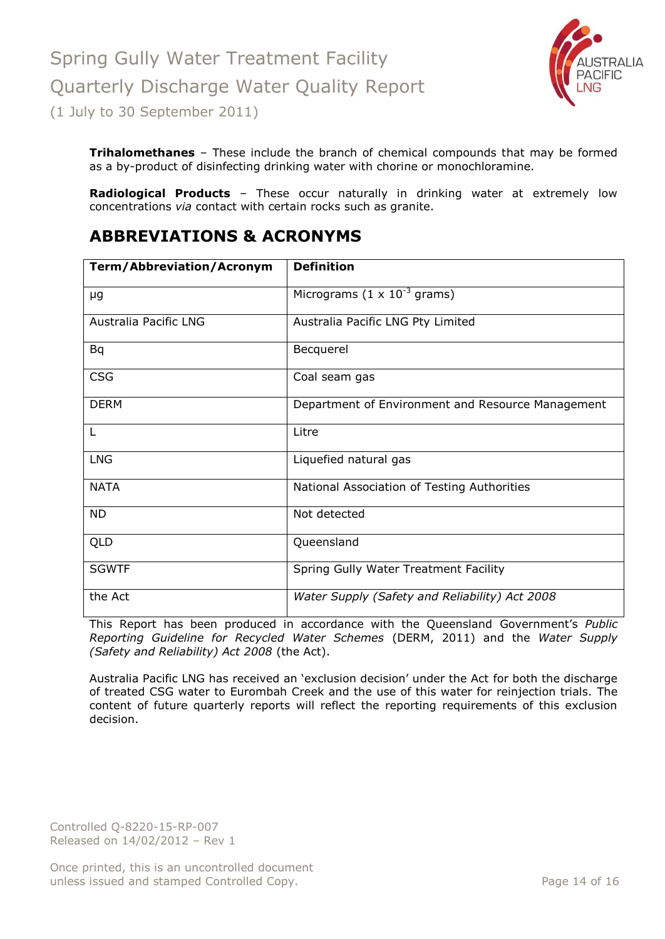

**Trihalomethanes** – These include the branch of chemical compounds that may be formed as a by-product of disinfecting drinking water with chorine or monochloramine.

**Radiological Products** – These occur naturally in drinking water at extremely low concentrations *via* contact with certain rocks such as granite.

## <span id="page-13-0"></span>**ABBREVIATIONS & ACRONYMS**

| <b>Term/Abbreviation/Acronym</b> | <b>Definition</b>                                 |
|----------------------------------|---------------------------------------------------|
| μg                               | Micrograms $(1 \times 10^{-3} \text{ grams})$     |
| Australia Pacific LNG            | Australia Pacific LNG Pty Limited                 |
| <b>Bq</b>                        | Becquerel                                         |
| <b>CSG</b>                       | Coal seam gas                                     |
| <b>DERM</b>                      | Department of Environment and Resource Management |
| L                                | Litre                                             |
| <b>LNG</b>                       | Liquefied natural gas                             |
| <b>NATA</b>                      | National Association of Testing Authorities       |
| <b>ND</b>                        | Not detected                                      |
| <b>QLD</b>                       | Queensland                                        |
| <b>SGWTF</b>                     | Spring Gully Water Treatment Facility             |
| the Act                          | Water Supply (Safety and Reliability) Act 2008    |

This Report has been produced in accordance with the Queensland Government's *Public Reporting Guideline for Recycled Water Schemes* (DERM, 2011) and the *Water Supply (Safety and Reliability) Act 2008* (the Act).

Australia Pacific LNG has received an 'exclusion decision' under the Act for both the discharge of treated CSG water to Eurombah Creek and the use of this water for reinjection trials. The content of future quarterly reports will reflect the reporting requirements of this exclusion decision.

Controlled Q-8220-15-RP-007 Released on 14/02/2012 – Rev 1

Once printed, this is an uncontrolled document unless issued and stamped Controlled Copy. The extended of 16 and 20 and 20 and 20 and 20 and 20 and 20 and 20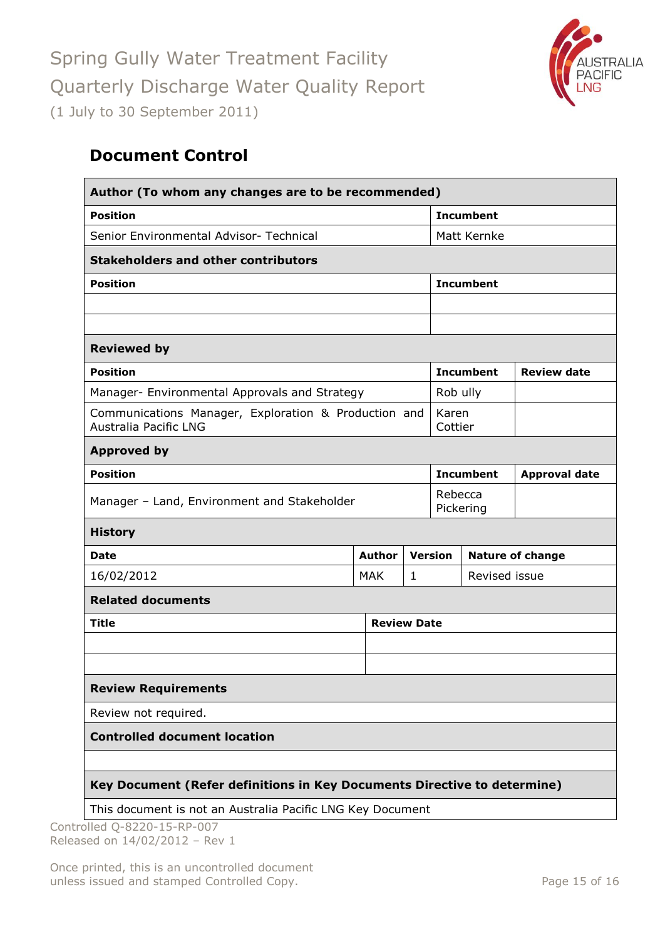

# <span id="page-14-0"></span>**Document Control**

| Author (To whom any changes are to be recommended)                                   |               |              |                      |                  |                         |  |
|--------------------------------------------------------------------------------------|---------------|--------------|----------------------|------------------|-------------------------|--|
| <b>Position</b>                                                                      |               |              | <b>Incumbent</b>     |                  |                         |  |
| Senior Environmental Advisor- Technical                                              |               |              |                      | Matt Kernke      |                         |  |
| <b>Stakeholders and other contributors</b>                                           |               |              |                      |                  |                         |  |
| <b>Position</b>                                                                      |               |              |                      | <b>Incumbent</b> |                         |  |
|                                                                                      |               |              |                      |                  |                         |  |
|                                                                                      |               |              |                      |                  |                         |  |
| <b>Reviewed by</b>                                                                   |               |              |                      |                  |                         |  |
| <b>Position</b>                                                                      |               |              | <b>Incumbent</b>     |                  | <b>Review date</b>      |  |
| Manager- Environmental Approvals and Strategy                                        |               |              | Rob ully             |                  |                         |  |
| Communications Manager, Exploration & Production and<br><b>Australia Pacific LNG</b> |               |              | Karen<br>Cottier     |                  |                         |  |
| <b>Approved by</b>                                                                   |               |              |                      |                  |                         |  |
| <b>Position</b>                                                                      |               |              | <b>Incumbent</b>     |                  | <b>Approval date</b>    |  |
| Manager - Land, Environment and Stakeholder                                          |               |              | Rebecca<br>Pickering |                  |                         |  |
| <b>History</b>                                                                       |               |              |                      |                  |                         |  |
| <b>Date</b>                                                                          | <b>Author</b> |              | <b>Version</b>       |                  | <b>Nature of change</b> |  |
| 16/02/2012                                                                           | <b>MAK</b>    | $\mathbf{1}$ | Revised issue        |                  |                         |  |
| <b>Related documents</b>                                                             |               |              |                      |                  |                         |  |
| <b>Review Date</b><br><b>Title</b>                                                   |               |              |                      |                  |                         |  |
|                                                                                      |               |              |                      |                  |                         |  |
|                                                                                      |               |              |                      |                  |                         |  |
| <b>Review Requirements</b>                                                           |               |              |                      |                  |                         |  |
| Review not required.                                                                 |               |              |                      |                  |                         |  |
| <b>Controlled document location</b>                                                  |               |              |                      |                  |                         |  |
|                                                                                      |               |              |                      |                  |                         |  |
| Key Document (Refer definitions in Key Documents Directive to determine)             |               |              |                      |                  |                         |  |
| This document is not an Australia Pacific LNG Key Document                           |               |              |                      |                  |                         |  |

Controlled Q-8220-15-RP-007 Released on 14/02/2012 – Rev 1

Once printed, this is an uncontrolled document unless issued and stamped Controlled Copy. The extendion of the Page 15 of 16